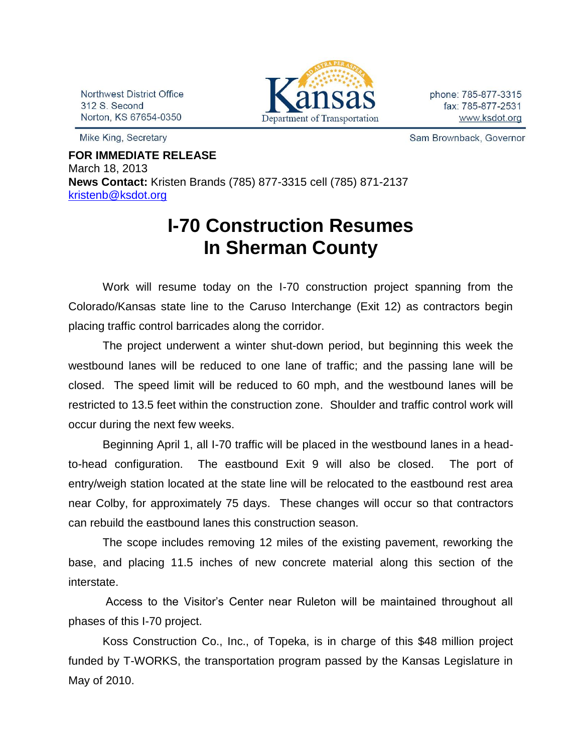Northwest District Office 312 S. Second Norton, KS 67654-0350

Mike King, Secretary



phone: 785-877-3315 fax: 785-877-2531 www.ksdot.org

Sam Brownback, Governor

**FOR IMMEDIATE RELEASE** March 18, 2013 **News Contact:** Kristen Brands (785) 877-3315 cell (785) 871-2137 [kristenb@ksdot.org](mailto:kristenb@ksdot.org)

## **I-70 Construction Resumes In Sherman County**

 Work will resume today on the I-70 construction project spanning from the Colorado/Kansas state line to the Caruso Interchange (Exit 12) as contractors begin placing traffic control barricades along the corridor.

The project underwent a winter shut-down period, but beginning this week the westbound lanes will be reduced to one lane of traffic; and the passing lane will be closed. The speed limit will be reduced to 60 mph, and the westbound lanes will be restricted to 13.5 feet within the construction zone. Shoulder and traffic control work will occur during the next few weeks.

Beginning April 1, all I-70 traffic will be placed in the westbound lanes in a headto-head configuration. The eastbound Exit 9 will also be closed. The port of entry/weigh station located at the state line will be relocated to the eastbound rest area near Colby, for approximately 75 days. These changes will occur so that contractors can rebuild the eastbound lanes this construction season.

The scope includes removing 12 miles of the existing pavement, reworking the base, and placing 11.5 inches of new concrete material along this section of the interstate.

Access to the Visitor's Center near Ruleton will be maintained throughout all phases of this I-70 project.

Koss Construction Co., Inc., of Topeka, is in charge of this \$48 million project funded by T-WORKS, the transportation program passed by the Kansas Legislature in May of 2010.